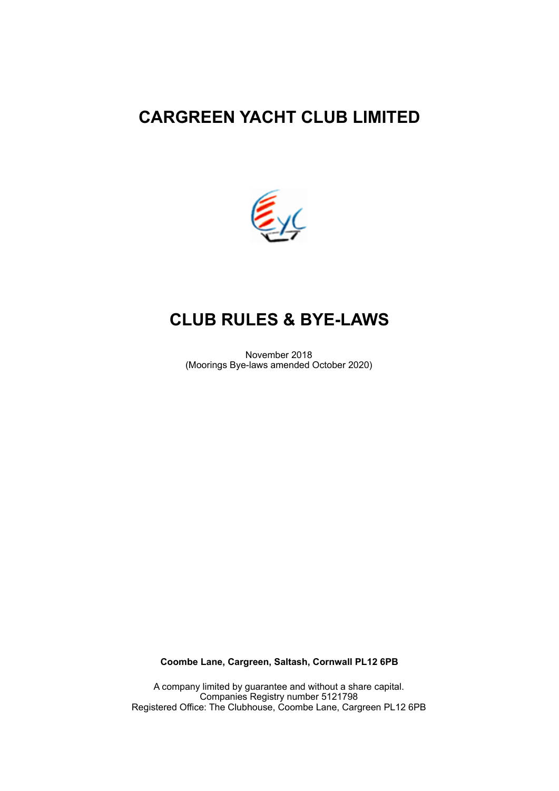# **CARGREEN YACHT CLUB LIMITED**



# **CLUB RULES & BYE-LAWS**

November 2018 (Moorings Bye-laws amended October 2020)

**Coombe Lane, Cargreen, Saltash, Cornwall PL12 6PB** 

A company limited by guarantee and without a share capital. Companies Registry number 5121798 Registered Office: The Clubhouse, Coombe Lane, Cargreen PL12 6PB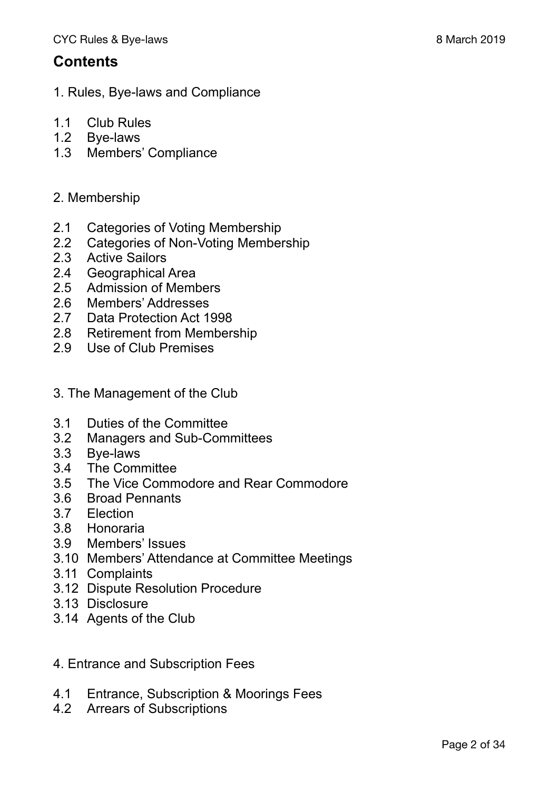## **Contents**

- 1. Rules, Bye-laws and Compliance
- 1.1 Club Rules
- 1.2 Bye-laws
- 1.3 Members' Compliance
- 2. Membership
- 2.1 Categories of Voting Membership
- 2.2 Categories of Non-Voting Membership
- 2.3 Active Sailors
- 2.4 Geographical Area
- 2.5 Admission of Members
- 2.6 Members' Addresses
- 2.7 Data Protection Act 1998
- 2.8 Retirement from Membership
- 2.9 Use of Club Premises
- 3. The Management of the Club
- 3.1 Duties of the Committee
- 3.2 Managers and Sub-Committees
- 3.3 Bye-laws
- 3.4 The Committee
- 3.5 The Vice Commodore and Rear Commodore
- 3.6 Broad Pennants
- 3.7 Election
- 3.8 Honoraria
- 3.9 Members' Issues
- 3.10 Members' Attendance at Committee Meetings
- 3.11 Complaints
- 3.12 Dispute Resolution Procedure
- 3.13 Disclosure
- 3.14 Agents of the Club
- 4. Entrance and Subscription Fees
- 4.1 Entrance, Subscription & Moorings Fees
- 4.2 Arrears of Subscriptions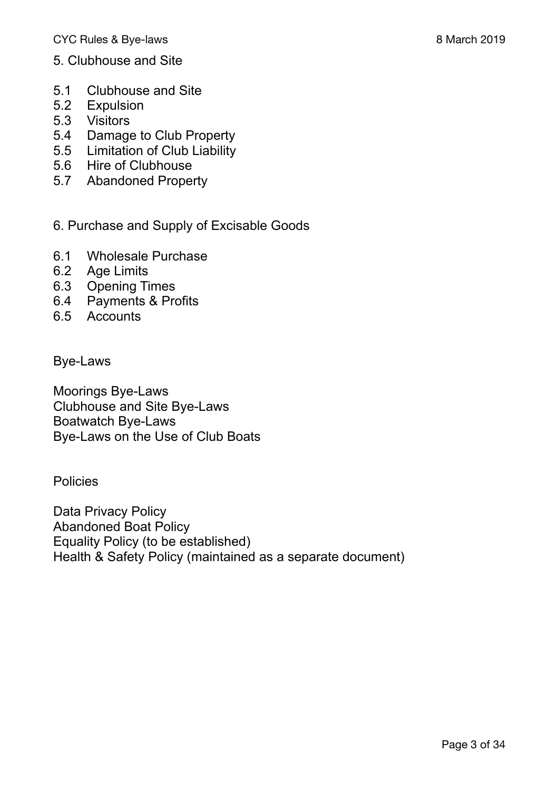- 5. Clubhouse and Site
- 5.1 Clubhouse and Site
- 5.2 Expulsion
- 5.3 Visitors
- 5.4 Damage to Club Property
- 5.5 Limitation of Club Liability
- 5.6 Hire of Clubhouse
- 5.7 Abandoned Property
- 6. Purchase and Supply of Excisable Goods
- 6.1 Wholesale Purchase
- 6.2 Age Limits
- 6.3 Opening Times
- 6.4 Payments & Profits
- 6.5 Accounts

Bye-Laws

Moorings Bye-Laws Clubhouse and Site Bye-Laws Boatwatch Bye-Laws Bye-Laws on the Use of Club Boats

**Policies** 

Data Privacy Policy Abandoned Boat Policy Equality Policy (to be established) Health & Safety Policy (maintained as a separate document)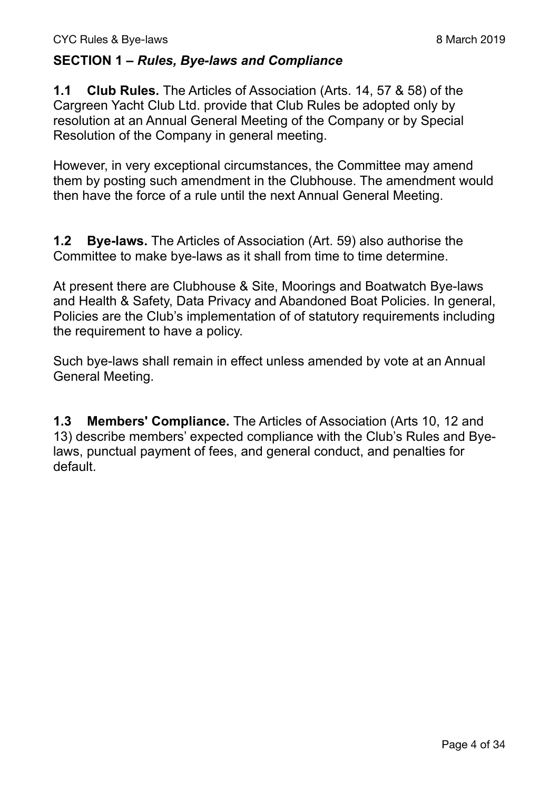### **SECTION 1 –** *Rules, Bye-laws and Compliance*

**1.1 Club Rules.** The Articles of Association (Arts. 14, 57 & 58) of the Cargreen Yacht Club Ltd. provide that Club Rules be adopted only by resolution at an Annual General Meeting of the Company or by Special Resolution of the Company in general meeting.

However, in very exceptional circumstances, the Committee may amend them by posting such amendment in the Clubhouse. The amendment would then have the force of a rule until the next Annual General Meeting.

**1.2 Bye-laws.** The Articles of Association (Art. 59) also authorise the Committee to make bye-laws as it shall from time to time determine.

At present there are Clubhouse & Site, Moorings and Boatwatch Bye-laws and Health & Safety, Data Privacy and Abandoned Boat Policies. In general, Policies are the Club's implementation of of statutory requirements including the requirement to have a policy.

Such bye-laws shall remain in effect unless amended by vote at an Annual General Meeting.

**1.3 Members' Compliance.** The Articles of Association (Arts 10, 12 and 13) describe members' expected compliance with the Club's Rules and Byelaws, punctual payment of fees, and general conduct, and penalties for default.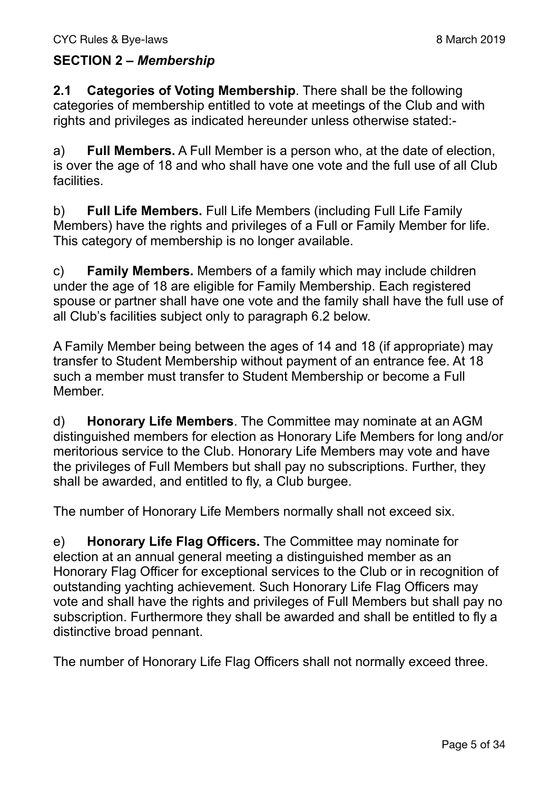### **SECTION 2 –** *Membership*

**2.1 Categories of Voting Membership**. There shall be the following categories of membership entitled to vote at meetings of the Club and with rights and privileges as indicated hereunder unless otherwise stated:-

a) **Full Members.** A Full Member is a person who, at the date of election, is over the age of 18 and who shall have one vote and the full use of all Club facilities.

b) **Full Life Members.** Full Life Members (including Full Life Family Members) have the rights and privileges of a Full or Family Member for life. This category of membership is no longer available.

c) **Family Members.** Members of a family which may include children under the age of 18 are eligible for Family Membership. Each registered spouse or partner shall have one vote and the family shall have the full use of all Club's facilities subject only to paragraph 6.2 below.

A Family Member being between the ages of 14 and 18 (if appropriate) may transfer to Student Membership without payment of an entrance fee. At 18 such a member must transfer to Student Membership or become a Full Member.

d) **Honorary Life Members**. The Committee may nominate at an AGM distinguished members for election as Honorary Life Members for long and/or meritorious service to the Club. Honorary Life Members may vote and have the privileges of Full Members but shall pay no subscriptions. Further, they shall be awarded, and entitled to fly, a Club burgee.

The number of Honorary Life Members normally shall not exceed six.

e) **Honorary Life Flag Officers.** The Committee may nominate for election at an annual general meeting a distinguished member as an Honorary Flag Officer for exceptional services to the Club or in recognition of outstanding yachting achievement. Such Honorary Life Flag Officers may vote and shall have the rights and privileges of Full Members but shall pay no subscription. Furthermore they shall be awarded and shall be entitled to fly a distinctive broad pennant.

The number of Honorary Life Flag Officers shall not normally exceed three.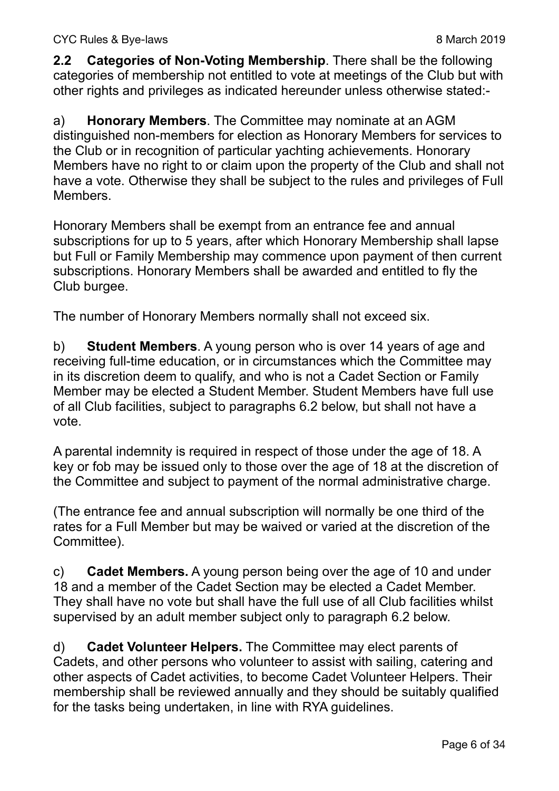**2.2 Categories of Non-Voting Membership**. There shall be the following categories of membership not entitled to vote at meetings of the Club but with other rights and privileges as indicated hereunder unless otherwise stated:-

a) **Honorary Members**. The Committee may nominate at an AGM distinguished non-members for election as Honorary Members for services to the Club or in recognition of particular yachting achievements. Honorary Members have no right to or claim upon the property of the Club and shall not have a vote. Otherwise they shall be subject to the rules and privileges of Full **Members** 

Honorary Members shall be exempt from an entrance fee and annual subscriptions for up to 5 years, after which Honorary Membership shall lapse but Full or Family Membership may commence upon payment of then current subscriptions. Honorary Members shall be awarded and entitled to fly the Club burgee.

The number of Honorary Members normally shall not exceed six.

b) **Student Members**. A young person who is over 14 years of age and receiving full-time education, or in circumstances which the Committee may in its discretion deem to qualify, and who is not a Cadet Section or Family Member may be elected a Student Member. Student Members have full use of all Club facilities, subject to paragraphs 6.2 below, but shall not have a vote.

A parental indemnity is required in respect of those under the age of 18. A key or fob may be issued only to those over the age of 18 at the discretion of the Committee and subject to payment of the normal administrative charge.

(The entrance fee and annual subscription will normally be one third of the rates for a Full Member but may be waived or varied at the discretion of the Committee).

c) **Cadet Members.** A young person being over the age of 10 and under 18 and a member of the Cadet Section may be elected a Cadet Member. They shall have no vote but shall have the full use of all Club facilities whilst supervised by an adult member subject only to paragraph 6.2 below.

d) **Cadet Volunteer Helpers.** The Committee may elect parents of Cadets, and other persons who volunteer to assist with sailing, catering and other aspects of Cadet activities, to become Cadet Volunteer Helpers. Their membership shall be reviewed annually and they should be suitably qualified for the tasks being undertaken, in line with RYA guidelines.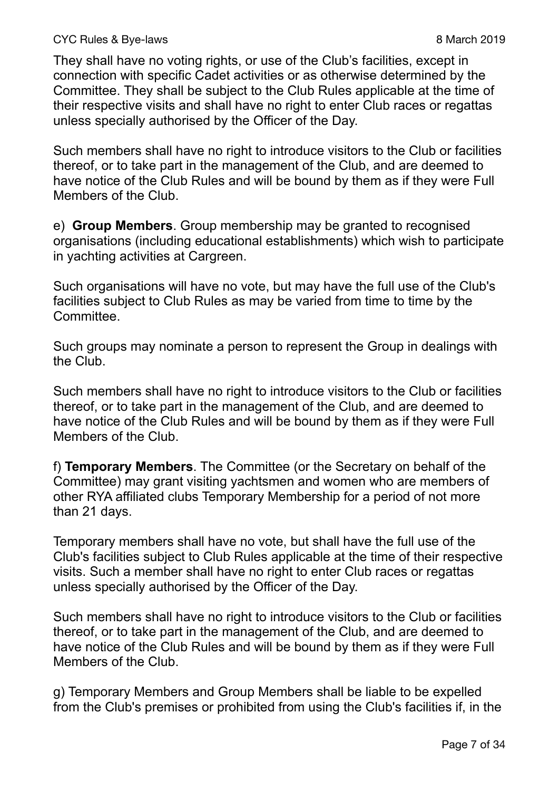#### CYC Rules & Bye-laws 2019

They shall have no voting rights, or use of the Club's facilities, except in connection with specific Cadet activities or as otherwise determined by the Committee. They shall be subject to the Club Rules applicable at the time of their respective visits and shall have no right to enter Club races or regattas unless specially authorised by the Officer of the Day.

Such members shall have no right to introduce visitors to the Club or facilities thereof, or to take part in the management of the Club, and are deemed to have notice of the Club Rules and will be bound by them as if they were Full Members of the Club.

e) **Group Members**. Group membership may be granted to recognised organisations (including educational establishments) which wish to participate in yachting activities at Cargreen.

Such organisations will have no vote, but may have the full use of the Club's facilities subject to Club Rules as may be varied from time to time by the Committee.

Such groups may nominate a person to represent the Group in dealings with the Club.

Such members shall have no right to introduce visitors to the Club or facilities thereof, or to take part in the management of the Club, and are deemed to have notice of the Club Rules and will be bound by them as if they were Full Members of the Club.

f) **Temporary Members**. The Committee (or the Secretary on behalf of the Committee) may grant visiting yachtsmen and women who are members of other RYA affiliated clubs Temporary Membership for a period of not more than 21 days.

Temporary members shall have no vote, but shall have the full use of the Club's facilities subject to Club Rules applicable at the time of their respective visits. Such a member shall have no right to enter Club races or regattas unless specially authorised by the Officer of the Day.

Such members shall have no right to introduce visitors to the Club or facilities thereof, or to take part in the management of the Club, and are deemed to have notice of the Club Rules and will be bound by them as if they were Full Members of the Club.

g) Temporary Members and Group Members shall be liable to be expelled from the Club's premises or prohibited from using the Club's facilities if, in the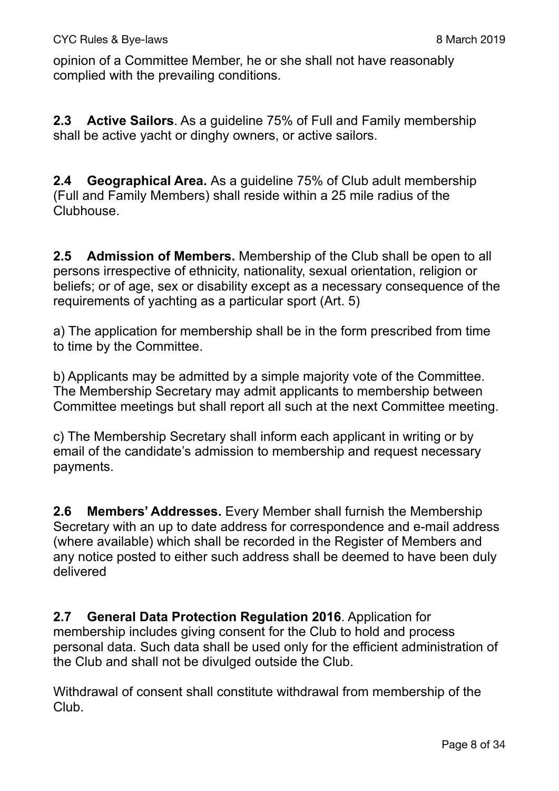opinion of a Committee Member, he or she shall not have reasonably complied with the prevailing conditions.

**2.3 Active Sailors**. As a guideline 75% of Full and Family membership shall be active yacht or dinghy owners, or active sailors.

**2.4 Geographical Area.** As a guideline 75% of Club adult membership (Full and Family Members) shall reside within a 25 mile radius of the Clubhouse.

**2.5 Admission of Members.** Membership of the Club shall be open to all persons irrespective of ethnicity, nationality, sexual orientation, religion or beliefs; or of age, sex or disability except as a necessary consequence of the requirements of yachting as a particular sport (Art. 5)

a) The application for membership shall be in the form prescribed from time to time by the Committee.

b) Applicants may be admitted by a simple majority vote of the Committee. The Membership Secretary may admit applicants to membership between Committee meetings but shall report all such at the next Committee meeting.

c) The Membership Secretary shall inform each applicant in writing or by email of the candidate's admission to membership and request necessary payments.

**2.6 Members' Addresses.** Every Member shall furnish the Membership Secretary with an up to date address for correspondence and e-mail address (where available) which shall be recorded in the Register of Members and any notice posted to either such address shall be deemed to have been duly delivered

**2.7 General Data Protection Regulation 2016**. Application for membership includes giving consent for the Club to hold and process personal data. Such data shall be used only for the efficient administration of the Club and shall not be divulged outside the Club.

Withdrawal of consent shall constitute withdrawal from membership of the Club.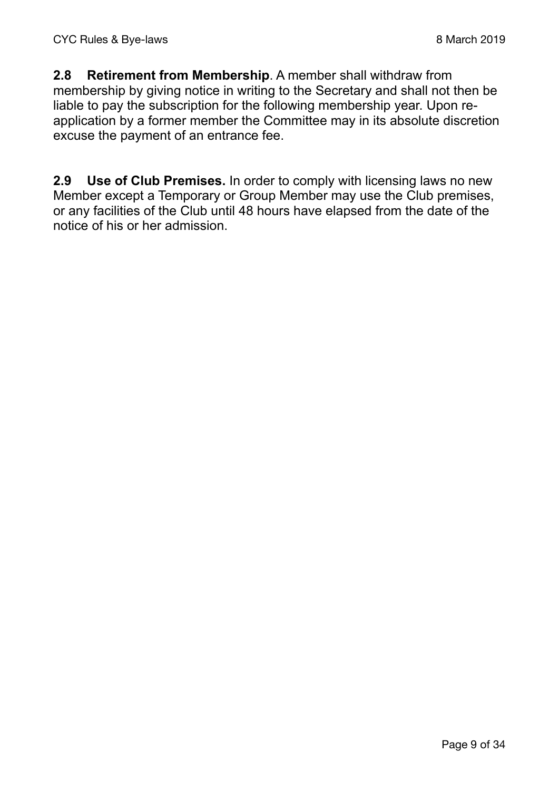**2.8 Retirement from Membership**. A member shall withdraw from membership by giving notice in writing to the Secretary and shall not then be liable to pay the subscription for the following membership year. Upon reapplication by a former member the Committee may in its absolute discretion excuse the payment of an entrance fee.

**2.9 Use of Club Premises.** In order to comply with licensing laws no new Member except a Temporary or Group Member may use the Club premises, or any facilities of the Club until 48 hours have elapsed from the date of the notice of his or her admission.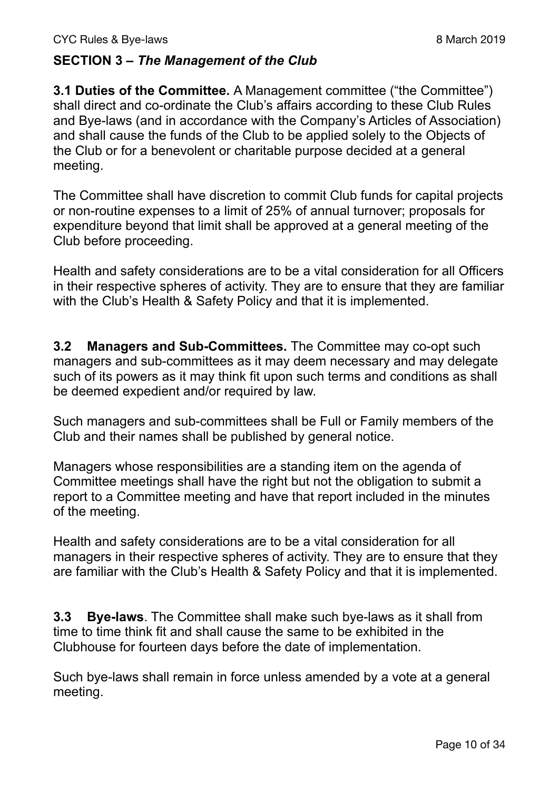#### **SECTION 3 –** *The Management of the Club*

**3.1 Duties of the Committee.** A Management committee ("the Committee") shall direct and co-ordinate the Club's affairs according to these Club Rules and Bye-laws (and in accordance with the Company's Articles of Association) and shall cause the funds of the Club to be applied solely to the Objects of the Club or for a benevolent or charitable purpose decided at a general meeting.

The Committee shall have discretion to commit Club funds for capital projects or non-routine expenses to a limit of 25% of annual turnover; proposals for expenditure beyond that limit shall be approved at a general meeting of the Club before proceeding.

Health and safety considerations are to be a vital consideration for all Officers in their respective spheres of activity. They are to ensure that they are familiar with the Club's Health & Safety Policy and that it is implemented.

**3.2 Managers and Sub-Committees.** The Committee may co-opt such managers and sub-committees as it may deem necessary and may delegate such of its powers as it may think fit upon such terms and conditions as shall be deemed expedient and/or required by law.

Such managers and sub-committees shall be Full or Family members of the Club and their names shall be published by general notice.

Managers whose responsibilities are a standing item on the agenda of Committee meetings shall have the right but not the obligation to submit a report to a Committee meeting and have that report included in the minutes of the meeting.

Health and safety considerations are to be a vital consideration for all managers in their respective spheres of activity. They are to ensure that they are familiar with the Club's Health & Safety Policy and that it is implemented.

**3.3 Bye-laws**. The Committee shall make such bye-laws as it shall from time to time think fit and shall cause the same to be exhibited in the Clubhouse for fourteen days before the date of implementation.

Such bye-laws shall remain in force unless amended by a vote at a general meeting.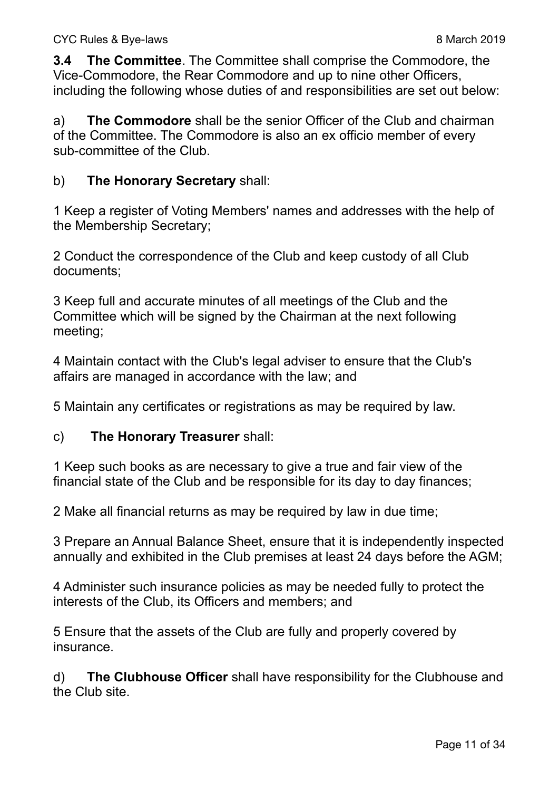**3.4 The Committee**. The Committee shall comprise the Commodore, the Vice-Commodore, the Rear Commodore and up to nine other Officers, including the following whose duties of and responsibilities are set out below:

a) **The Commodore** shall be the senior Officer of the Club and chairman of the Committee. The Commodore is also an ex officio member of every sub-committee of the Club.

#### b) **The Honorary Secretary** shall:

1 Keep a register of Voting Members' names and addresses with the help of the Membership Secretary;

2 Conduct the correspondence of the Club and keep custody of all Club documents;

3 Keep full and accurate minutes of all meetings of the Club and the Committee which will be signed by the Chairman at the next following meeting;

4 Maintain contact with the Club's legal adviser to ensure that the Club's affairs are managed in accordance with the law; and

5 Maintain any certificates or registrations as may be required by law.

#### c) **The Honorary Treasurer** shall:

1 Keep such books as are necessary to give a true and fair view of the financial state of the Club and be responsible for its day to day finances;

2 Make all financial returns as may be required by law in due time;

3 Prepare an Annual Balance Sheet, ensure that it is independently inspected annually and exhibited in the Club premises at least 24 days before the AGM;

4 Administer such insurance policies as may be needed fully to protect the interests of the Club, its Officers and members; and

5 Ensure that the assets of the Club are fully and properly covered by insurance.

d) **The Clubhouse Officer** shall have responsibility for the Clubhouse and the Club site.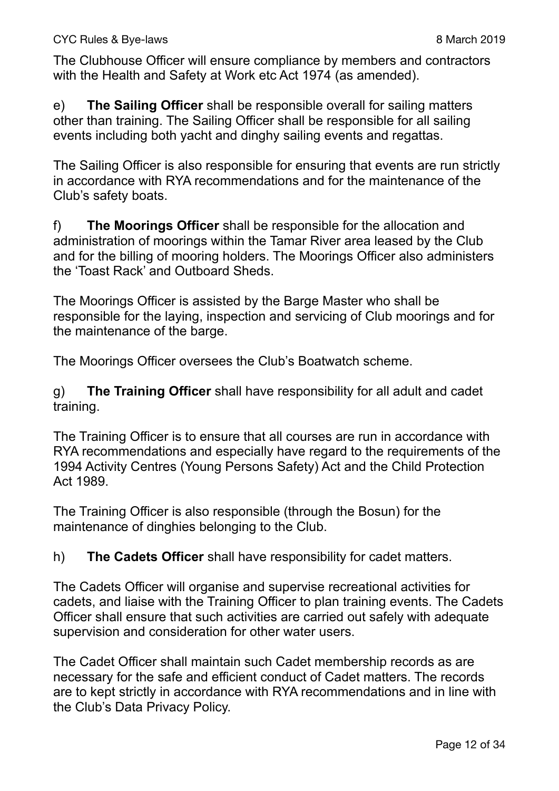The Clubhouse Officer will ensure compliance by members and contractors with the Health and Safety at Work etc Act 1974 (as amended).

e) **The Sailing Officer** shall be responsible overall for sailing matters other than training. The Sailing Officer shall be responsible for all sailing events including both yacht and dinghy sailing events and regattas.

The Sailing Officer is also responsible for ensuring that events are run strictly in accordance with RYA recommendations and for the maintenance of the Club's safety boats.

f) **The Moorings Officer** shall be responsible for the allocation and administration of moorings within the Tamar River area leased by the Club and for the billing of mooring holders. The Moorings Officer also administers the 'Toast Rack' and Outboard Sheds.

The Moorings Officer is assisted by the Barge Master who shall be responsible for the laying, inspection and servicing of Club moorings and for the maintenance of the barge.

The Moorings Officer oversees the Club's Boatwatch scheme.

g) **The Training Officer** shall have responsibility for all adult and cadet training.

The Training Officer is to ensure that all courses are run in accordance with RYA recommendations and especially have regard to the requirements of the 1994 Activity Centres (Young Persons Safety) Act and the Child Protection Act 1989.

The Training Officer is also responsible (through the Bosun) for the maintenance of dinghies belonging to the Club.

h) **The Cadets Officer** shall have responsibility for cadet matters.

The Cadets Officer will organise and supervise recreational activities for cadets, and liaise with the Training Officer to plan training events. The Cadets Officer shall ensure that such activities are carried out safely with adequate supervision and consideration for other water users.

The Cadet Officer shall maintain such Cadet membership records as are necessary for the safe and efficient conduct of Cadet matters. The records are to kept strictly in accordance with RYA recommendations and in line with the Club's Data Privacy Policy.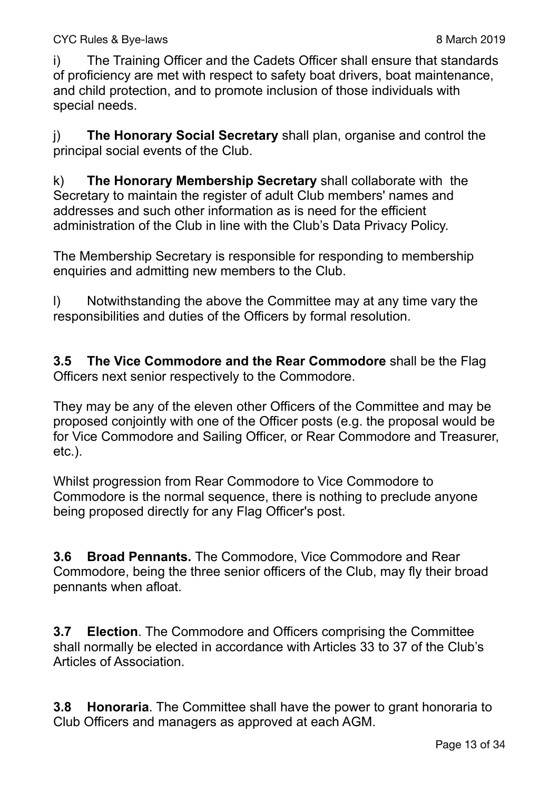i) The Training Officer and the Cadets Officer shall ensure that standards of proficiency are met with respect to safety boat drivers, boat maintenance, and child protection, and to promote inclusion of those individuals with special needs.

j) **The Honorary Social Secretary** shall plan, organise and control the principal social events of the Club.

k) **The Honorary Membership Secretary** shall collaborate with the Secretary to maintain the register of adult Club members' names and addresses and such other information as is need for the efficient administration of the Club in line with the Club's Data Privacy Policy.

The Membership Secretary is responsible for responding to membership enquiries and admitting new members to the Club.

l) Notwithstanding the above the Committee may at any time vary the responsibilities and duties of the Officers by formal resolution.

**3.5 The Vice Commodore and the Rear Commodore** shall be the Flag Officers next senior respectively to the Commodore.

They may be any of the eleven other Officers of the Committee and may be proposed conjointly with one of the Officer posts (e.g. the proposal would be for Vice Commodore and Sailing Officer, or Rear Commodore and Treasurer, etc.).

Whilst progression from Rear Commodore to Vice Commodore to Commodore is the normal sequence, there is nothing to preclude anyone being proposed directly for any Flag Officer's post.

**3.6 Broad Pennants.** The Commodore, Vice Commodore and Rear Commodore, being the three senior officers of the Club, may fly their broad pennants when afloat.

**3.7 Election**. The Commodore and Officers comprising the Committee shall normally be elected in accordance with Articles 33 to 37 of the Club's Articles of Association.

**3.8 Honoraria**. The Committee shall have the power to grant honoraria to Club Officers and managers as approved at each AGM.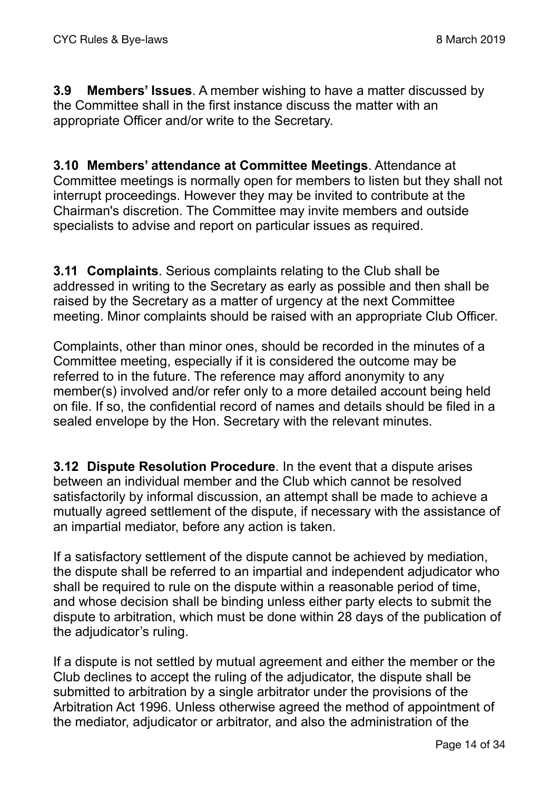**3.9 Members' Issues**. A member wishing to have a matter discussed by the Committee shall in the first instance discuss the matter with an appropriate Officer and/or write to the Secretary.

**3.10 Members' attendance at Committee Meetings**. Attendance at Committee meetings is normally open for members to listen but they shall not interrupt proceedings. However they may be invited to contribute at the Chairman's discretion. The Committee may invite members and outside specialists to advise and report on particular issues as required.

**3.11 Complaints**. Serious complaints relating to the Club shall be addressed in writing to the Secretary as early as possible and then shall be raised by the Secretary as a matter of urgency at the next Committee meeting. Minor complaints should be raised with an appropriate Club Officer.

Complaints, other than minor ones, should be recorded in the minutes of a Committee meeting, especially if it is considered the outcome may be referred to in the future. The reference may afford anonymity to any member(s) involved and/or refer only to a more detailed account being held on file. If so, the confidential record of names and details should be filed in a sealed envelope by the Hon. Secretary with the relevant minutes.

**3.12 Dispute Resolution Procedure**. In the event that a dispute arises between an individual member and the Club which cannot be resolved satisfactorily by informal discussion, an attempt shall be made to achieve a mutually agreed settlement of the dispute, if necessary with the assistance of an impartial mediator, before any action is taken.

If a satisfactory settlement of the dispute cannot be achieved by mediation, the dispute shall be referred to an impartial and independent adjudicator who shall be required to rule on the dispute within a reasonable period of time, and whose decision shall be binding unless either party elects to submit the dispute to arbitration, which must be done within 28 days of the publication of the adjudicator's ruling.

If a dispute is not settled by mutual agreement and either the member or the Club declines to accept the ruling of the adjudicator, the dispute shall be submitted to arbitration by a single arbitrator under the provisions of the Arbitration Act 1996. Unless otherwise agreed the method of appointment of the mediator, adjudicator or arbitrator, and also the administration of the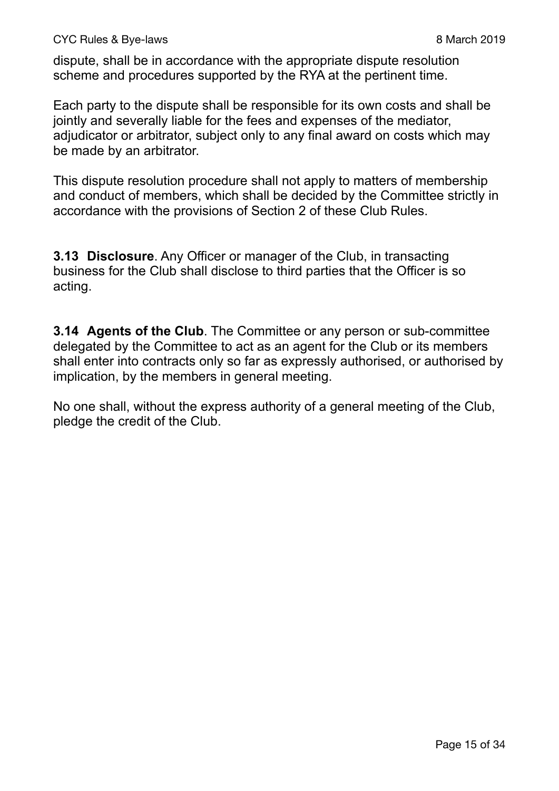dispute, shall be in accordance with the appropriate dispute resolution scheme and procedures supported by the RYA at the pertinent time.

Each party to the dispute shall be responsible for its own costs and shall be jointly and severally liable for the fees and expenses of the mediator, adjudicator or arbitrator, subject only to any final award on costs which may be made by an arbitrator.

This dispute resolution procedure shall not apply to matters of membership and conduct of members, which shall be decided by the Committee strictly in accordance with the provisions of Section 2 of these Club Rules.

**3.13 Disclosure**. Any Officer or manager of the Club, in transacting business for the Club shall disclose to third parties that the Officer is so acting.

**3.14 Agents of the Club**. The Committee or any person or sub-committee delegated by the Committee to act as an agent for the Club or its members shall enter into contracts only so far as expressly authorised, or authorised by implication, by the members in general meeting.

No one shall, without the express authority of a general meeting of the Club, pledge the credit of the Club.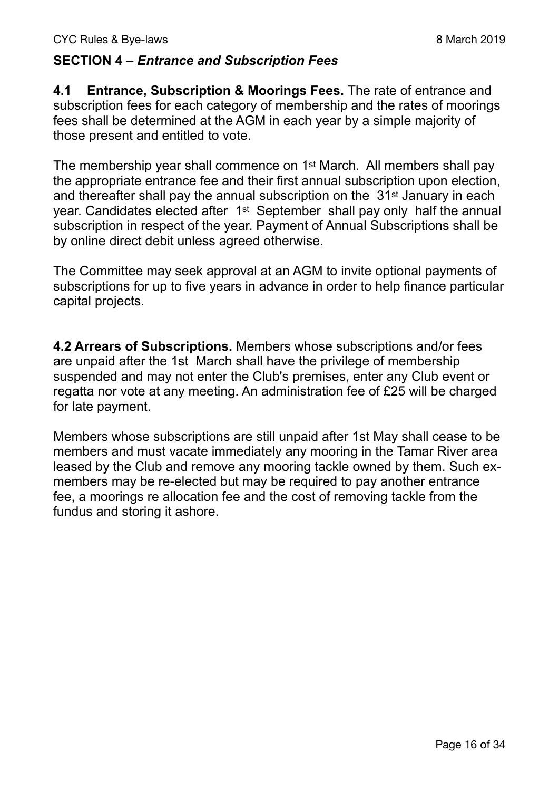#### **SECTION 4 –** *Entrance and Subscription Fees*

**4.1 Entrance, Subscription & Moorings Fees.** The rate of entrance and subscription fees for each category of membership and the rates of moorings fees shall be determined at the AGM in each year by a simple majority of those present and entitled to vote.

The membership year shall commence on 1st March. All members shall pay the appropriate entrance fee and their first annual subscription upon election, and thereafter shall pay the annual subscription on the 31<sup>st</sup> January in each year. Candidates elected after 1st September shall pay only half the annual subscription in respect of the year. Payment of Annual Subscriptions shall be by online direct debit unless agreed otherwise.

The Committee may seek approval at an AGM to invite optional payments of subscriptions for up to five years in advance in order to help finance particular capital projects.

**4.2 Arrears of Subscriptions.** Members whose subscriptions and/or fees are unpaid after the 1st March shall have the privilege of membership suspended and may not enter the Club's premises, enter any Club event or regatta nor vote at any meeting. An administration fee of £25 will be charged for late payment.

Members whose subscriptions are still unpaid after 1st May shall cease to be members and must vacate immediately any mooring in the Tamar River area leased by the Club and remove any mooring tackle owned by them. Such exmembers may be re-elected but may be required to pay another entrance fee, a moorings re allocation fee and the cost of removing tackle from the fundus and storing it ashore.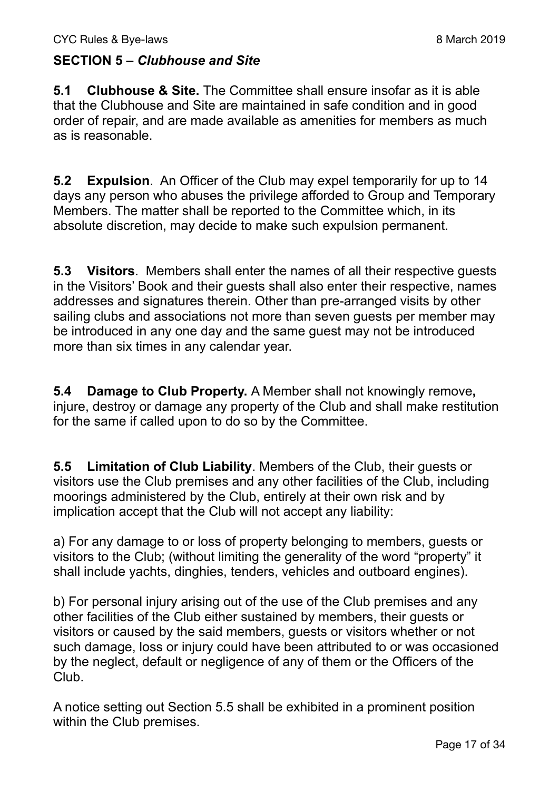## **SECTION 5 –** *Clubhouse and Site*

**5.1 Clubhouse & Site.** The Committee shall ensure insofar as it is able that the Clubhouse and Site are maintained in safe condition and in good order of repair, and are made available as amenities for members as much as is reasonable.

**5.2 Expulsion**. An Officer of the Club may expel temporarily for up to 14 days any person who abuses the privilege afforded to Group and Temporary Members. The matter shall be reported to the Committee which, in its absolute discretion, may decide to make such expulsion permanent.

**5.3 Visitors**. Members shall enter the names of all their respective guests in the Visitors' Book and their guests shall also enter their respective, names addresses and signatures therein. Other than pre-arranged visits by other sailing clubs and associations not more than seven guests per member may be introduced in any one day and the same guest may not be introduced more than six times in any calendar year.

**5.4 Damage to Club Property.** A Member shall not knowingly remove**,**  injure, destroy or damage any property of the Club and shall make restitution for the same if called upon to do so by the Committee.

**5.5 Limitation of Club Liability**. Members of the Club, their guests or visitors use the Club premises and any other facilities of the Club, including moorings administered by the Club, entirely at their own risk and by implication accept that the Club will not accept any liability:

a) For any damage to or loss of property belonging to members, guests or visitors to the Club; (without limiting the generality of the word "property" it shall include yachts, dinghies, tenders, vehicles and outboard engines).

b) For personal injury arising out of the use of the Club premises and any other facilities of the Club either sustained by members, their guests or visitors or caused by the said members, guests or visitors whether or not such damage, loss or injury could have been attributed to or was occasioned by the neglect, default or negligence of any of them or the Officers of the Club.

A notice setting out Section 5.5 shall be exhibited in a prominent position within the Club premises.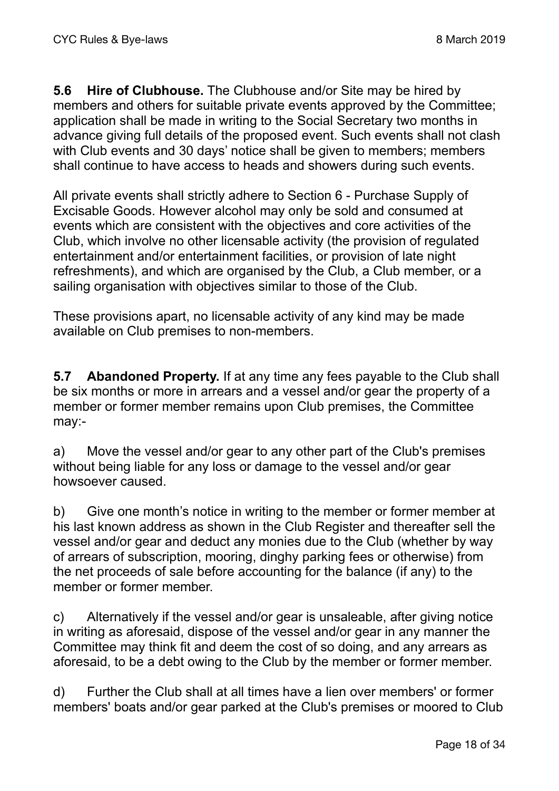**5.6 Hire of Clubhouse.** The Clubhouse and/or Site may be hired by members and others for suitable private events approved by the Committee; application shall be made in writing to the Social Secretary two months in advance giving full details of the proposed event. Such events shall not clash with Club events and 30 days' notice shall be given to members; members shall continue to have access to heads and showers during such events.

All private events shall strictly adhere to Section 6 - Purchase Supply of Excisable Goods. However alcohol may only be sold and consumed at events which are consistent with the objectives and core activities of the Club, which involve no other licensable activity (the provision of regulated entertainment and/or entertainment facilities, or provision of late night refreshments), and which are organised by the Club, a Club member, or a sailing organisation with objectives similar to those of the Club.

These provisions apart, no licensable activity of any kind may be made available on Club premises to non-members.

**5.7 Abandoned Property.** If at any time any fees payable to the Club shall be six months or more in arrears and a vessel and/or gear the property of a member or former member remains upon Club premises, the Committee may:-

a) Move the vessel and/or gear to any other part of the Club's premises without being liable for any loss or damage to the vessel and/or gear howsoever caused.

b) Give one month's notice in writing to the member or former member at his last known address as shown in the Club Register and thereafter sell the vessel and/or gear and deduct any monies due to the Club (whether by way of arrears of subscription, mooring, dinghy parking fees or otherwise) from the net proceeds of sale before accounting for the balance (if any) to the member or former member.

c) Alternatively if the vessel and/or gear is unsaleable, after giving notice in writing as aforesaid, dispose of the vessel and/or gear in any manner the Committee may think fit and deem the cost of so doing, and any arrears as aforesaid, to be a debt owing to the Club by the member or former member.

d) Further the Club shall at all times have a lien over members' or former members' boats and/or gear parked at the Club's premises or moored to Club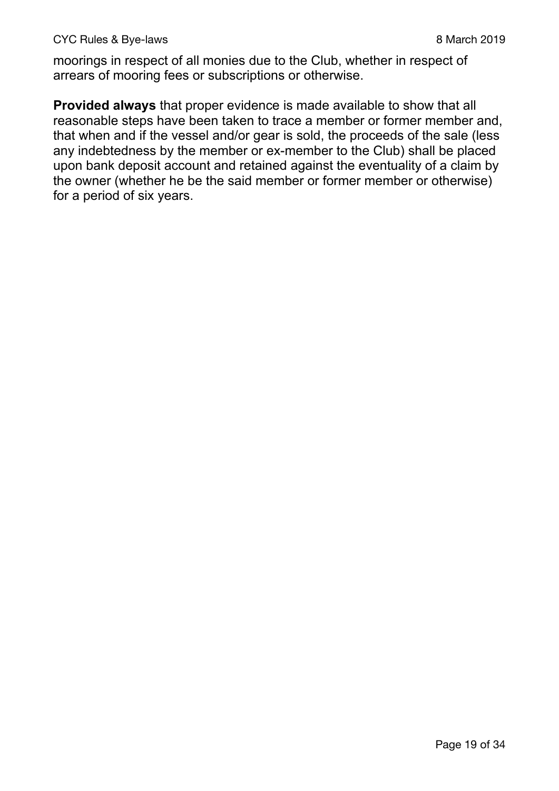moorings in respect of all monies due to the Club, whether in respect of arrears of mooring fees or subscriptions or otherwise.

**Provided always** that proper evidence is made available to show that all reasonable steps have been taken to trace a member or former member and, that when and if the vessel and/or gear is sold, the proceeds of the sale (less any indebtedness by the member or ex-member to the Club) shall be placed upon bank deposit account and retained against the eventuality of a claim by the owner (whether he be the said member or former member or otherwise) for a period of six years.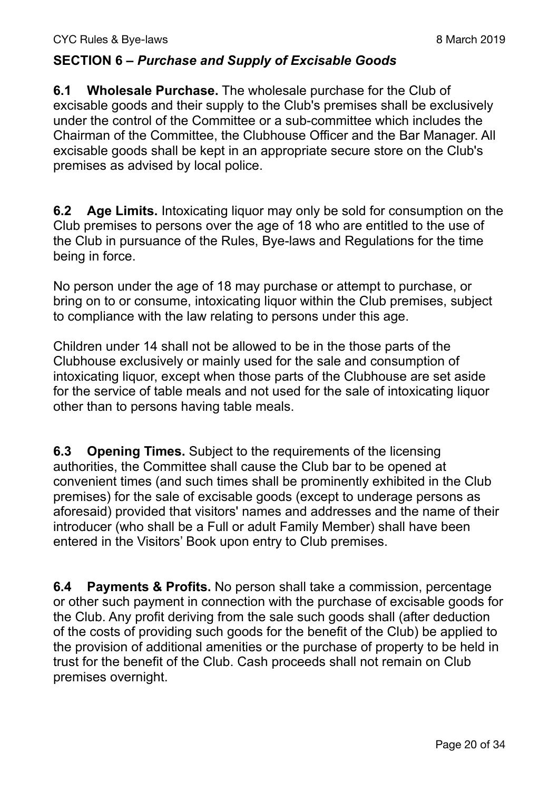### **SECTION 6 –** *Purchase and Supply of Excisable Goods*

**6.1 Wholesale Purchase.** The wholesale purchase for the Club of excisable goods and their supply to the Club's premises shall be exclusively under the control of the Committee or a sub-committee which includes the Chairman of the Committee, the Clubhouse Officer and the Bar Manager. All excisable goods shall be kept in an appropriate secure store on the Club's premises as advised by local police.

**6.2 Age Limits.** Intoxicating liquor may only be sold for consumption on the Club premises to persons over the age of 18 who are entitled to the use of the Club in pursuance of the Rules, Bye-laws and Regulations for the time being in force.

No person under the age of 18 may purchase or attempt to purchase, or bring on to or consume, intoxicating liquor within the Club premises, subject to compliance with the law relating to persons under this age.

Children under 14 shall not be allowed to be in the those parts of the Clubhouse exclusively or mainly used for the sale and consumption of intoxicating liquor, except when those parts of the Clubhouse are set aside for the service of table meals and not used for the sale of intoxicating liquor other than to persons having table meals.

**6.3 Opening Times.** Subject to the requirements of the licensing authorities, the Committee shall cause the Club bar to be opened at convenient times (and such times shall be prominently exhibited in the Club premises) for the sale of excisable goods (except to underage persons as aforesaid) provided that visitors' names and addresses and the name of their introducer (who shall be a Full or adult Family Member) shall have been entered in the Visitors' Book upon entry to Club premises.

**6.4 Payments & Profits.** No person shall take a commission, percentage or other such payment in connection with the purchase of excisable goods for the Club. Any profit deriving from the sale such goods shall (after deduction of the costs of providing such goods for the benefit of the Club) be applied to the provision of additional amenities or the purchase of property to be held in trust for the benefit of the Club. Cash proceeds shall not remain on Club premises overnight.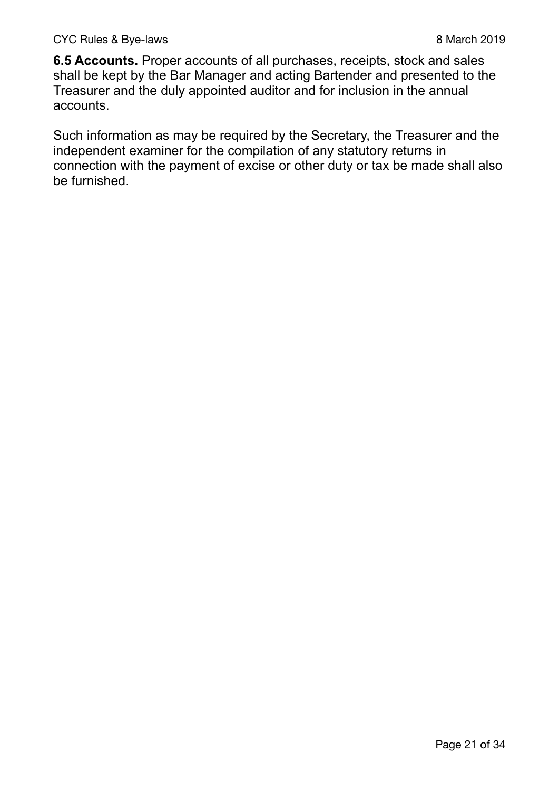**6.5 Accounts.** Proper accounts of all purchases, receipts, stock and sales shall be kept by the Bar Manager and acting Bartender and presented to the Treasurer and the duly appointed auditor and for inclusion in the annual accounts.

Such information as may be required by the Secretary, the Treasurer and the independent examiner for the compilation of any statutory returns in connection with the payment of excise or other duty or tax be made shall also be furnished.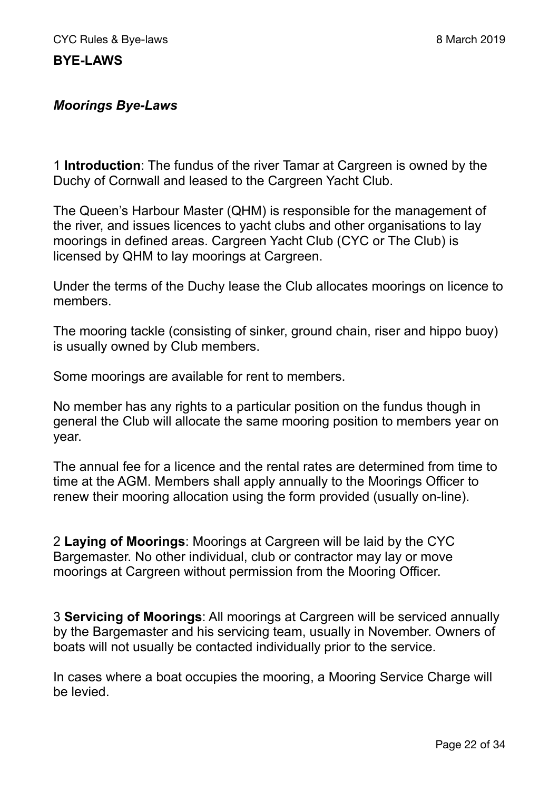#### *Moorings Bye-Laws*

1 **Introduction**: The fundus of the river Tamar at Cargreen is owned by the Duchy of Cornwall and leased to the Cargreen Yacht Club.

The Queen's Harbour Master (QHM) is responsible for the management of the river, and issues licences to yacht clubs and other organisations to lay moorings in defined areas. Cargreen Yacht Club (CYC or The Club) is licensed by QHM to lay moorings at Cargreen.

Under the terms of the Duchy lease the Club allocates moorings on licence to members.

The mooring tackle (consisting of sinker, ground chain, riser and hippo buoy) is usually owned by Club members.

Some moorings are available for rent to members.

No member has any rights to a particular position on the fundus though in general the Club will allocate the same mooring position to members year on year.

The annual fee for a licence and the rental rates are determined from time to time at the AGM. Members shall apply annually to the Moorings Officer to renew their mooring allocation using the form provided (usually on-line).

2 **Laying of Moorings**: Moorings at Cargreen will be laid by the CYC Bargemaster. No other individual, club or contractor may lay or move moorings at Cargreen without permission from the Mooring Officer.

3 **Servicing of Moorings**: All moorings at Cargreen will be serviced annually by the Bargemaster and his servicing team, usually in November. Owners of boats will not usually be contacted individually prior to the service.

In cases where a boat occupies the mooring, a Mooring Service Charge will be levied.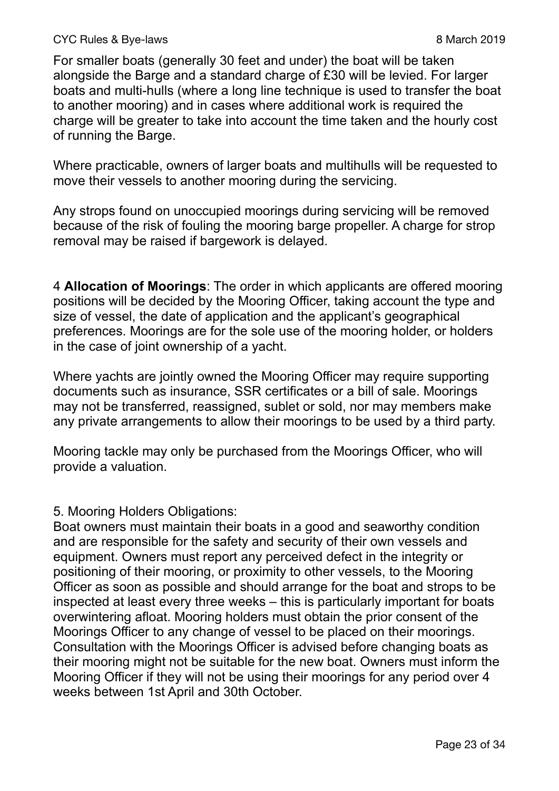#### CYC Rules & Bye-laws 2019

For smaller boats (generally 30 feet and under) the boat will be taken alongside the Barge and a standard charge of £30 will be levied. For larger boats and multi-hulls (where a long line technique is used to transfer the boat to another mooring) and in cases where additional work is required the charge will be greater to take into account the time taken and the hourly cost of running the Barge.

Where practicable, owners of larger boats and multihulls will be requested to move their vessels to another mooring during the servicing.

Any strops found on unoccupied moorings during servicing will be removed because of the risk of fouling the mooring barge propeller. A charge for strop removal may be raised if bargework is delayed.

4 **Allocation of Moorings**: The order in which applicants are offered mooring positions will be decided by the Mooring Officer, taking account the type and size of vessel, the date of application and the applicant's geographical preferences. Moorings are for the sole use of the mooring holder, or holders in the case of joint ownership of a yacht.

Where yachts are jointly owned the Mooring Officer may require supporting documents such as insurance, SSR certificates or a bill of sale. Moorings may not be transferred, reassigned, sublet or sold, nor may members make any private arrangements to allow their moorings to be used by a third party.

Mooring tackle may only be purchased from the Moorings Officer, who will provide a valuation.

#### 5. Mooring Holders Obligations:

Boat owners must maintain their boats in a good and seaworthy condition and are responsible for the safety and security of their own vessels and equipment. Owners must report any perceived defect in the integrity or positioning of their mooring, or proximity to other vessels, to the Mooring Officer as soon as possible and should arrange for the boat and strops to be inspected at least every three weeks – this is particularly important for boats overwintering afloat. Mooring holders must obtain the prior consent of the Moorings Officer to any change of vessel to be placed on their moorings. Consultation with the Moorings Officer is advised before changing boats as their mooring might not be suitable for the new boat. Owners must inform the Mooring Officer if they will not be using their moorings for any period over 4 weeks between 1st April and 30th October.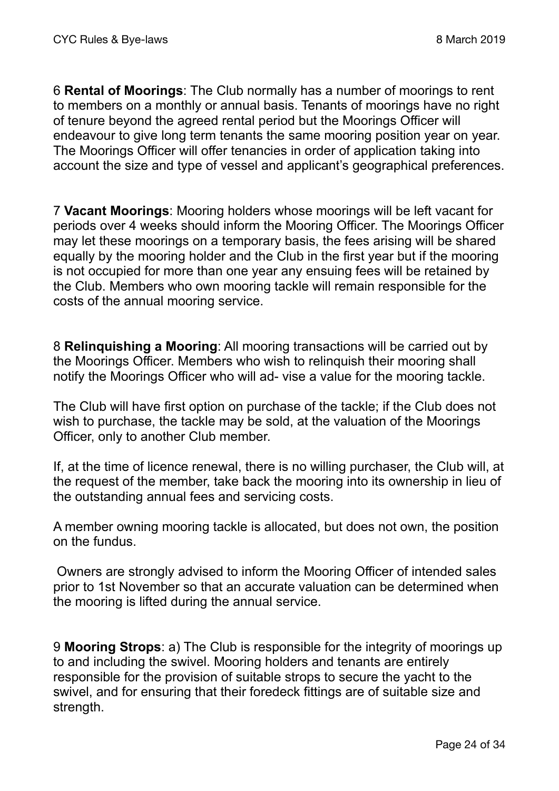6 **Rental of Moorings**: The Club normally has a number of moorings to rent to members on a monthly or annual basis. Tenants of moorings have no right of tenure beyond the agreed rental period but the Moorings Officer will endeavour to give long term tenants the same mooring position year on year. The Moorings Officer will offer tenancies in order of application taking into account the size and type of vessel and applicant's geographical preferences.

7 **Vacant Moorings**: Mooring holders whose moorings will be left vacant for periods over 4 weeks should inform the Mooring Officer. The Moorings Officer may let these moorings on a temporary basis, the fees arising will be shared equally by the mooring holder and the Club in the first year but if the mooring is not occupied for more than one year any ensuing fees will be retained by the Club. Members who own mooring tackle will remain responsible for the costs of the annual mooring service.

8 **Relinquishing a Mooring**: All mooring transactions will be carried out by the Moorings Officer. Members who wish to relinquish their mooring shall notify the Moorings Officer who will ad- vise a value for the mooring tackle.

The Club will have first option on purchase of the tackle; if the Club does not wish to purchase, the tackle may be sold, at the valuation of the Moorings Officer, only to another Club member.

If, at the time of licence renewal, there is no willing purchaser, the Club will, at the request of the member, take back the mooring into its ownership in lieu of the outstanding annual fees and servicing costs.

A member owning mooring tackle is allocated, but does not own, the position on the fundus.

 Owners are strongly advised to inform the Mooring Officer of intended sales prior to 1st November so that an accurate valuation can be determined when the mooring is lifted during the annual service.

9 **Mooring Strops**: a) The Club is responsible for the integrity of moorings up to and including the swivel. Mooring holders and tenants are entirely responsible for the provision of suitable strops to secure the yacht to the swivel, and for ensuring that their foredeck fittings are of suitable size and strength.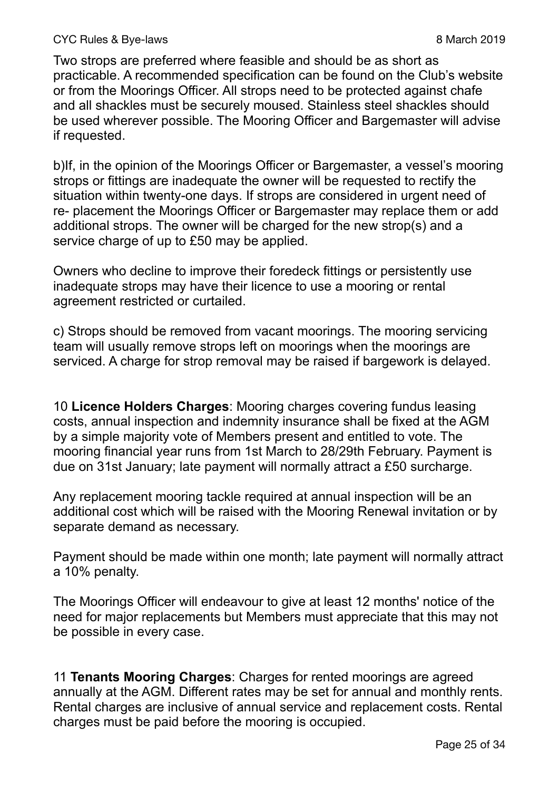Two strops are preferred where feasible and should be as short as practicable. A recommended specification can be found on the Club's website or from the Moorings Officer. All strops need to be protected against chafe and all shackles must be securely moused. Stainless steel shackles should be used wherever possible. The Mooring Officer and Bargemaster will advise if requested.

b)If, in the opinion of the Moorings Officer or Bargemaster, a vessel's mooring strops or fittings are inadequate the owner will be requested to rectify the situation within twenty-one days. If strops are considered in urgent need of re- placement the Moorings Officer or Bargemaster may replace them or add additional strops. The owner will be charged for the new strop(s) and a service charge of up to £50 may be applied.

Owners who decline to improve their foredeck fittings or persistently use inadequate strops may have their licence to use a mooring or rental agreement restricted or curtailed.

c) Strops should be removed from vacant moorings. The mooring servicing team will usually remove strops left on moorings when the moorings are serviced. A charge for strop removal may be raised if bargework is delayed.

10 **Licence Holders Charges**: Mooring charges covering fundus leasing costs, annual inspection and indemnity insurance shall be fixed at the AGM by a simple majority vote of Members present and entitled to vote. The mooring financial year runs from 1st March to 28/29th February. Payment is due on 31st January; late payment will normally attract a £50 surcharge.

Any replacement mooring tackle required at annual inspection will be an additional cost which will be raised with the Mooring Renewal invitation or by separate demand as necessary.

Payment should be made within one month; late payment will normally attract a 10% penalty.

The Moorings Officer will endeavour to give at least 12 months' notice of the need for major replacements but Members must appreciate that this may not be possible in every case.

11 **Tenants Mooring Charges**: Charges for rented moorings are agreed annually at the AGM. Different rates may be set for annual and monthly rents. Rental charges are inclusive of annual service and replacement costs. Rental charges must be paid before the mooring is occupied.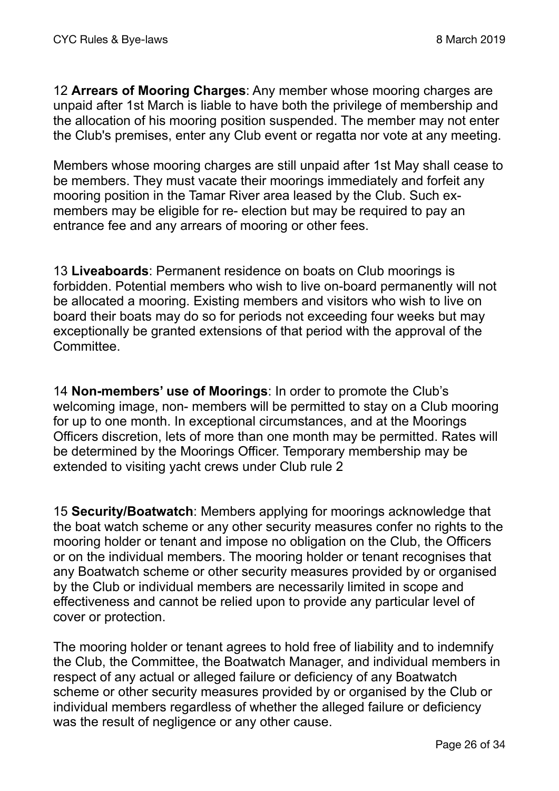12 **Arrears of Mooring Charges**: Any member whose mooring charges are unpaid after 1st March is liable to have both the privilege of membership and the allocation of his mooring position suspended. The member may not enter the Club's premises, enter any Club event or regatta nor vote at any meeting.

Members whose mooring charges are still unpaid after 1st May shall cease to be members. They must vacate their moorings immediately and forfeit any mooring position in the Tamar River area leased by the Club. Such exmembers may be eligible for re- election but may be required to pay an entrance fee and any arrears of mooring or other fees.

13 **Liveaboards**: Permanent residence on boats on Club moorings is forbidden. Potential members who wish to live on-board permanently will not be allocated a mooring. Existing members and visitors who wish to live on board their boats may do so for periods not exceeding four weeks but may exceptionally be granted extensions of that period with the approval of the Committee.

14 **Non-members' use of Moorings**: In order to promote the Club's welcoming image, non- members will be permitted to stay on a Club mooring for up to one month. In exceptional circumstances, and at the Moorings Officers discretion, lets of more than one month may be permitted. Rates will be determined by the Moorings Officer. Temporary membership may be extended to visiting yacht crews under Club rule 2

15 **Security/Boatwatch**: Members applying for moorings acknowledge that the boat watch scheme or any other security measures confer no rights to the mooring holder or tenant and impose no obligation on the Club, the Officers or on the individual members. The mooring holder or tenant recognises that any Boatwatch scheme or other security measures provided by or organised by the Club or individual members are necessarily limited in scope and effectiveness and cannot be relied upon to provide any particular level of cover or protection.

The mooring holder or tenant agrees to hold free of liability and to indemnify the Club, the Committee, the Boatwatch Manager, and individual members in respect of any actual or alleged failure or deficiency of any Boatwatch scheme or other security measures provided by or organised by the Club or individual members regardless of whether the alleged failure or deficiency was the result of negligence or any other cause.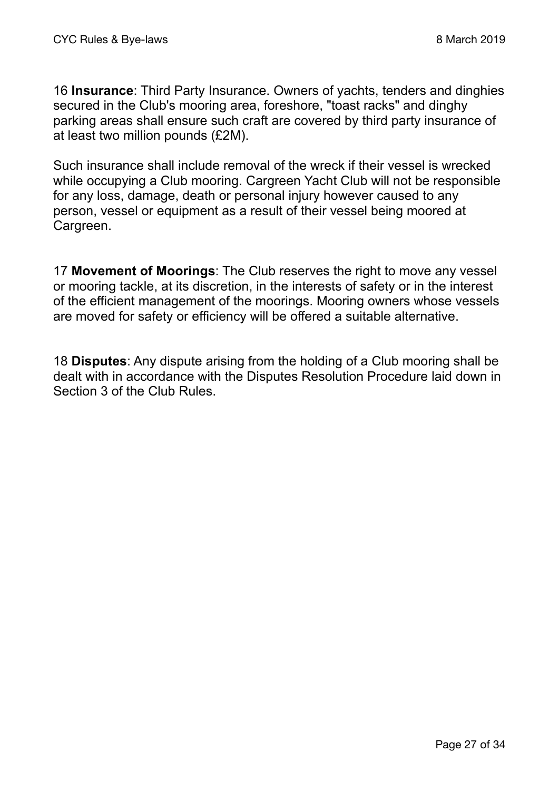16 **Insurance**: Third Party Insurance. Owners of yachts, tenders and dinghies secured in the Club's mooring area, foreshore, "toast racks" and dinghy parking areas shall ensure such craft are covered by third party insurance of at least two million pounds (£2M).

Such insurance shall include removal of the wreck if their vessel is wrecked while occupying a Club mooring. Cargreen Yacht Club will not be responsible for any loss, damage, death or personal injury however caused to any person, vessel or equipment as a result of their vessel being moored at Cargreen.

17 **Movement of Moorings**: The Club reserves the right to move any vessel or mooring tackle, at its discretion, in the interests of safety or in the interest of the efficient management of the moorings. Mooring owners whose vessels are moved for safety or efficiency will be offered a suitable alternative.

18 **Disputes**: Any dispute arising from the holding of a Club mooring shall be dealt with in accordance with the Disputes Resolution Procedure laid down in Section 3 of the Club Rules.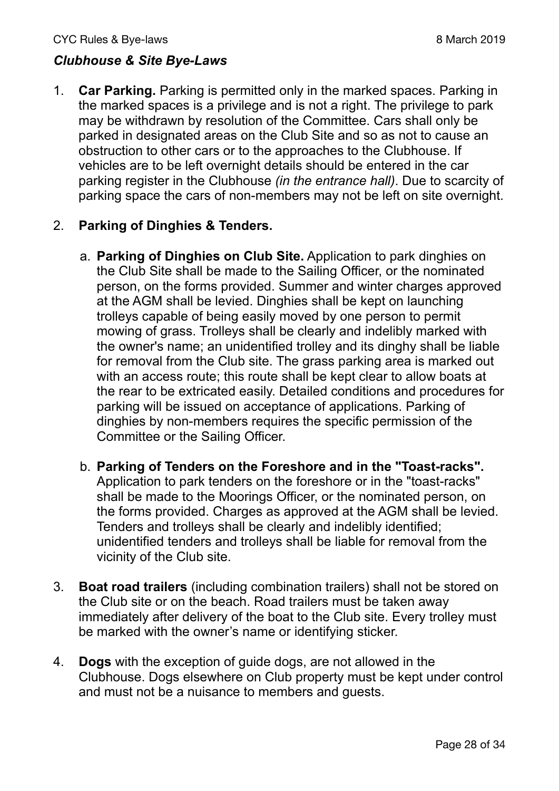## *Clubhouse & Site Bye-Laws*

1. **Car Parking.** Parking is permitted only in the marked spaces. Parking in the marked spaces is a privilege and is not a right. The privilege to park may be withdrawn by resolution of the Committee. Cars shall only be parked in designated areas on the Club Site and so as not to cause an obstruction to other cars or to the approaches to the Clubhouse. If vehicles are to be left overnight details should be entered in the car parking register in the Clubhouse *(in the entrance hall)*. Due to scarcity of parking space the cars of non-members may not be left on site overnight.

### 2. **Parking of Dinghies & Tenders.**

- a. **Parking of Dinghies on Club Site.** Application to park dinghies on the Club Site shall be made to the Sailing Officer, or the nominated person, on the forms provided. Summer and winter charges approved at the AGM shall be levied. Dinghies shall be kept on launching trolleys capable of being easily moved by one person to permit mowing of grass. Trolleys shall be clearly and indelibly marked with the owner's name; an unidentified trolley and its dinghy shall be liable for removal from the Club site. The grass parking area is marked out with an access route; this route shall be kept clear to allow boats at the rear to be extricated easily. Detailed conditions and procedures for parking will be issued on acceptance of applications. Parking of dinghies by non-members requires the specific permission of the Committee or the Sailing Officer.
- b. **Parking of Tenders on the Foreshore and in the "Toast-racks".** Application to park tenders on the foreshore or in the "toast-racks" shall be made to the Moorings Officer, or the nominated person, on the forms provided. Charges as approved at the AGM shall be levied. Tenders and trolleys shall be clearly and indelibly identified; unidentified tenders and trolleys shall be liable for removal from the vicinity of the Club site.
- 3. **Boat road trailers** (including combination trailers) shall not be stored on the Club site or on the beach. Road trailers must be taken away immediately after delivery of the boat to the Club site. Every trolley must be marked with the owner's name or identifying sticker.
- 4. **Dogs** with the exception of guide dogs, are not allowed in the Clubhouse. Dogs elsewhere on Club property must be kept under control and must not be a nuisance to members and guests.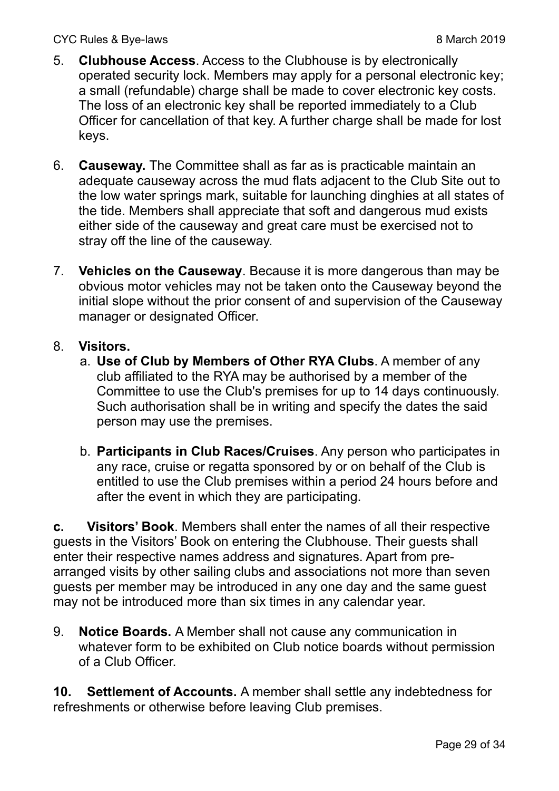- 5. **Clubhouse Access**. Access to the Clubhouse is by electronically operated security lock. Members may apply for a personal electronic key; a small (refundable) charge shall be made to cover electronic key costs. The loss of an electronic key shall be reported immediately to a Club Officer for cancellation of that key. A further charge shall be made for lost keys.
- 6. **Causeway.** The Committee shall as far as is practicable maintain an adequate causeway across the mud flats adjacent to the Club Site out to the low water springs mark, suitable for launching dinghies at all states of the tide. Members shall appreciate that soft and dangerous mud exists either side of the causeway and great care must be exercised not to stray off the line of the causeway.
- 7. **Vehicles on the Causeway**. Because it is more dangerous than may be obvious motor vehicles may not be taken onto the Causeway beyond the initial slope without the prior consent of and supervision of the Causeway manager or designated Officer.

#### 8. **Visitors.**

- a. **Use of Club by Members of Other RYA Clubs**. A member of any club affiliated to the RYA may be authorised by a member of the Committee to use the Club's premises for up to 14 days continuously. Such authorisation shall be in writing and specify the dates the said person may use the premises.
- b. **Participants in Club Races/Cruises**. Any person who participates in any race, cruise or regatta sponsored by or on behalf of the Club is entitled to use the Club premises within a period 24 hours before and after the event in which they are participating.

**c. Visitors' Book**. Members shall enter the names of all their respective guests in the Visitors' Book on entering the Clubhouse. Their guests shall enter their respective names address and signatures. Apart from prearranged visits by other sailing clubs and associations not more than seven guests per member may be introduced in any one day and the same guest may not be introduced more than six times in any calendar year.

9. **Notice Boards.** A Member shall not cause any communication in whatever form to be exhibited on Club notice boards without permission of a Club Officer.

**10. Settlement of Accounts.** A member shall settle any indebtedness for refreshments or otherwise before leaving Club premises.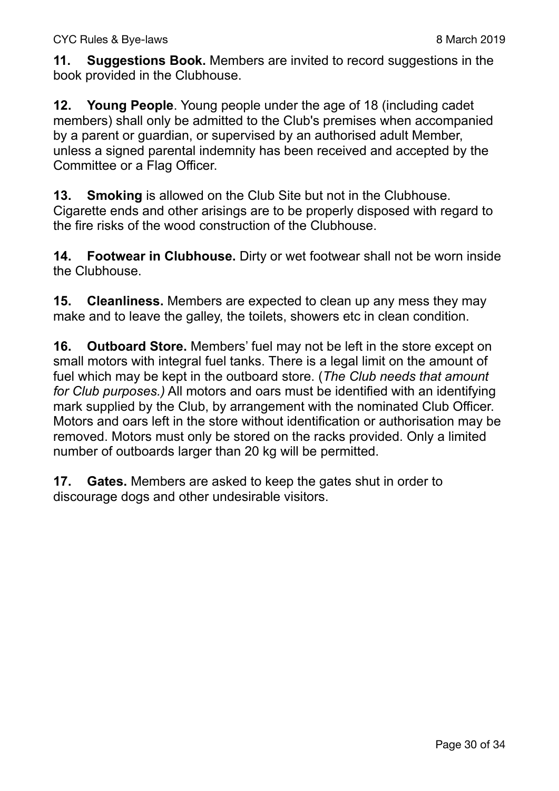**11. Suggestions Book.** Members are invited to record suggestions in the book provided in the Clubhouse.

**12. Young People**. Young people under the age of 18 (including cadet members) shall only be admitted to the Club's premises when accompanied by a parent or guardian, or supervised by an authorised adult Member, unless a signed parental indemnity has been received and accepted by the Committee or a Flag Officer.

**13. Smoking** is allowed on the Club Site but not in the Clubhouse. Cigarette ends and other arisings are to be properly disposed with regard to the fire risks of the wood construction of the Clubhouse.

**14. Footwear in Clubhouse.** Dirty or wet footwear shall not be worn inside the Clubhouse.

**15. Cleanliness.** Members are expected to clean up any mess they may make and to leave the galley, the toilets, showers etc in clean condition.

**16. Outboard Store.** Members' fuel may not be left in the store except on small motors with integral fuel tanks. There is a legal limit on the amount of fuel which may be kept in the outboard store. (*The Club needs that amount for Club purposes.)* All motors and oars must be identified with an identifying mark supplied by the Club, by arrangement with the nominated Club Officer. Motors and oars left in the store without identification or authorisation may be removed. Motors must only be stored on the racks provided. Only a limited number of outboards larger than 20 kg will be permitted.

**17. Gates.** Members are asked to keep the gates shut in order to discourage dogs and other undesirable visitors.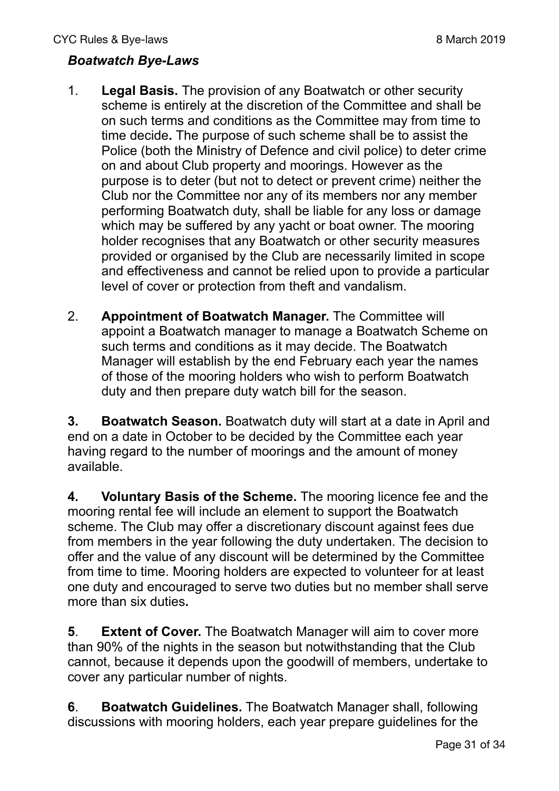#### *Boatwatch Bye-Laws*

- 1. **Legal Basis.** The provision of any Boatwatch or other security scheme is entirely at the discretion of the Committee and shall be on such terms and conditions as the Committee may from time to time decide**.** The purpose of such scheme shall be to assist the Police (both the Ministry of Defence and civil police) to deter crime on and about Club property and moorings. However as the purpose is to deter (but not to detect or prevent crime) neither the Club nor the Committee nor any of its members nor any member performing Boatwatch duty, shall be liable for any loss or damage which may be suffered by any yacht or boat owner. The mooring holder recognises that any Boatwatch or other security measures provided or organised by the Club are necessarily limited in scope and effectiveness and cannot be relied upon to provide a particular level of cover or protection from theft and vandalism.
- 2. **Appointment of Boatwatch Manager.** The Committee will appoint a Boatwatch manager to manage a Boatwatch Scheme on such terms and conditions as it may decide. The Boatwatch Manager will establish by the end February each year the names of those of the mooring holders who wish to perform Boatwatch duty and then prepare duty watch bill for the season.

**3. Boatwatch Season.** Boatwatch duty will start at a date in April and end on a date in October to be decided by the Committee each year having regard to the number of moorings and the amount of money available.

**4. Voluntary Basis of the Scheme.** The mooring licence fee and the mooring rental fee will include an element to support the Boatwatch scheme. The Club may offer a discretionary discount against fees due from members in the year following the duty undertaken. The decision to offer and the value of any discount will be determined by the Committee from time to time. Mooring holders are expected to volunteer for at least one duty and encouraged to serve two duties but no member shall serve more than six duties**.** 

**5**. **Extent of Cover.** The Boatwatch Manager will aim to cover more than 90% of the nights in the season but notwithstanding that the Club cannot, because it depends upon the goodwill of members, undertake to cover any particular number of nights.

**6**. **Boatwatch Guidelines.** The Boatwatch Manager shall, following discussions with mooring holders, each year prepare guidelines for the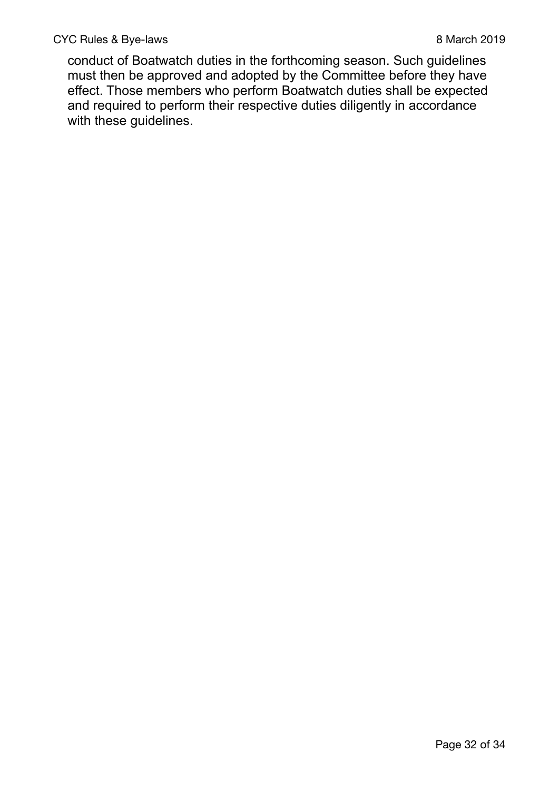conduct of Boatwatch duties in the forthcoming season. Such guidelines must then be approved and adopted by the Committee before they have effect. Those members who perform Boatwatch duties shall be expected and required to perform their respective duties diligently in accordance with these guidelines.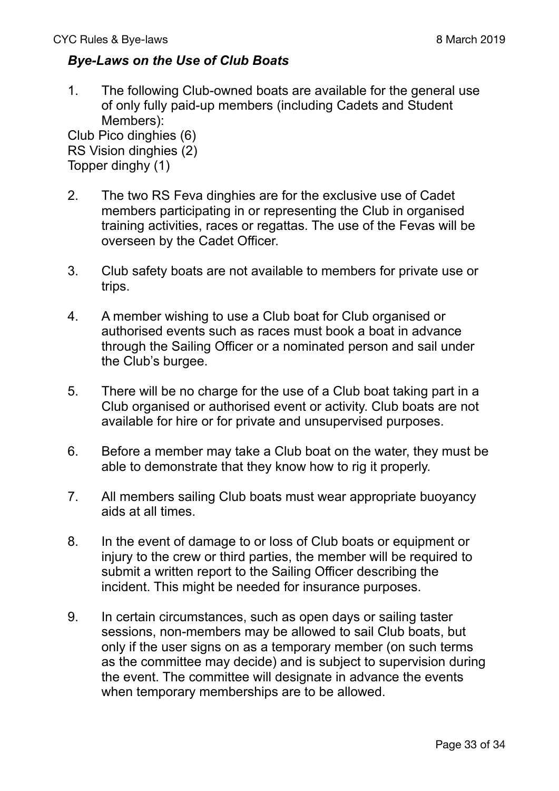#### *Bye-Laws on the Use of Club Boats*

1. The following Club-owned boats are available for the general use of only fully paid-up members (including Cadets and Student Members):

Club Pico dinghies (6) RS Vision dinghies (2) Topper dinghy (1)

- 2. The two RS Feva dinghies are for the exclusive use of Cadet members participating in or representing the Club in organised training activities, races or regattas. The use of the Fevas will be overseen by the Cadet Officer.
- 3. Club safety boats are not available to members for private use or trips.
- 4. A member wishing to use a Club boat for Club organised or authorised events such as races must book a boat in advance through the Sailing Officer or a nominated person and sail under the Club's burgee.
- 5. There will be no charge for the use of a Club boat taking part in a Club organised or authorised event or activity. Club boats are not available for hire or for private and unsupervised purposes.
- 6. Before a member may take a Club boat on the water, they must be able to demonstrate that they know how to rig it properly.
- 7. All members sailing Club boats must wear appropriate buoyancy aids at all times.
- 8. In the event of damage to or loss of Club boats or equipment or injury to the crew or third parties, the member will be required to submit a written report to the Sailing Officer describing the incident. This might be needed for insurance purposes.
- 9. In certain circumstances, such as open days or sailing taster sessions, non-members may be allowed to sail Club boats, but only if the user signs on as a temporary member (on such terms as the committee may decide) and is subject to supervision during the event. The committee will designate in advance the events when temporary memberships are to be allowed.